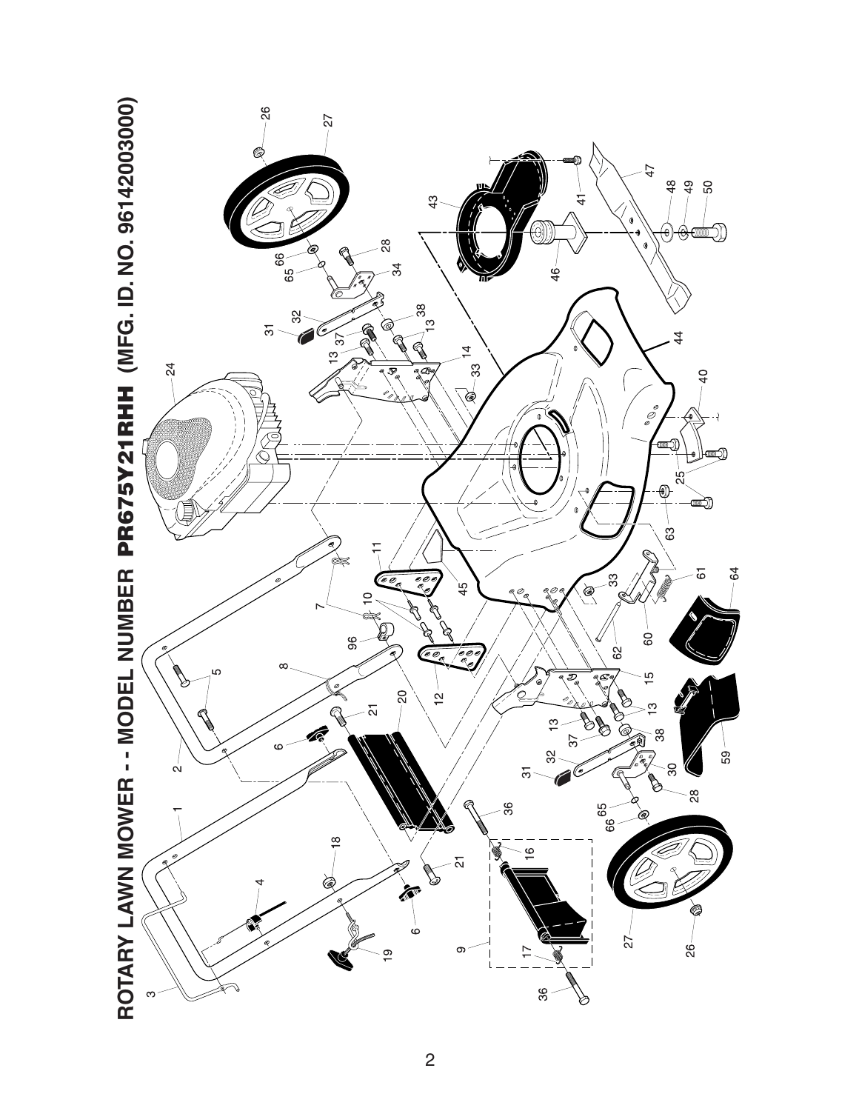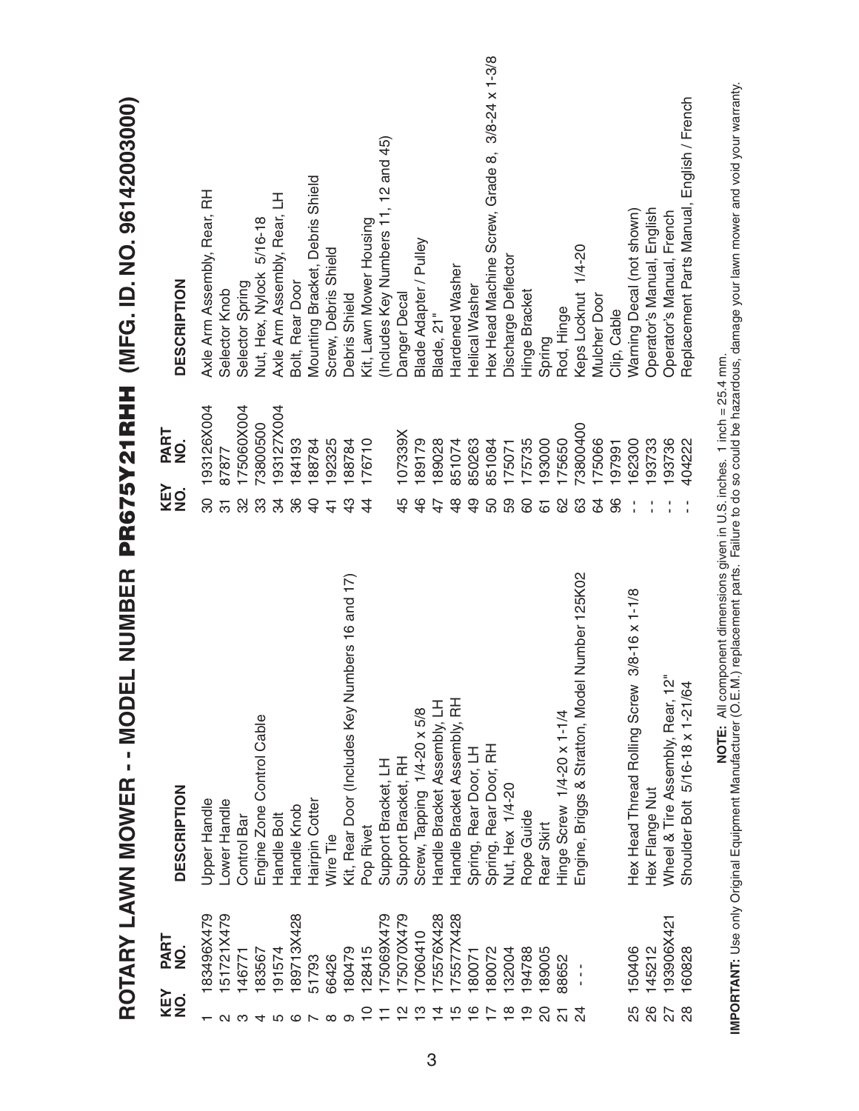|                |               | ROTARY LAWN MOWER - - MODEL NUMBER                                  |                |             | PR675Y21RHH (MFG. ID. NO. 96142003000)          |
|----------------|---------------|---------------------------------------------------------------------|----------------|-------------|-------------------------------------------------|
| KEY<br>NO.     | PART<br>NO.   | <b>DESCRIPTION</b>                                                  | KEY<br>NO.     | PART<br>NO. | <b>DESCRIPTION</b>                              |
|                | 83496X479     | Upper Handle                                                        | 30             | 193126X004  | Axle Arm Assembly, Rear, RH                     |
|                | 151721X479    | Lower Handle                                                        | 5              | 87877       | Selector Knob                                   |
| ດ ຕ            | 146771        | Control Bar                                                         | 32             | 175060X004  | Selector Spring                                 |
|                | 183567        | Engine Zone Control Cable                                           | က္တ            | 73800500    | Nut, Hex, Nylock 5/16-18                        |
| ഹ              | 191574        | Handle Bolt                                                         | 34             | 193127X004  | Axle Arm Assembly, Rear, LH                     |
| ဖ              | 89713X428     | Handle Knob                                                         | 86             | 184193      | Bolt, Rear Door                                 |
|                | 51793         | Hairpin Cotter                                                      | $\overline{6}$ | 188784      | Mounting Bracket, Debris Shield                 |
| $\infty$       | 66426         | Wire Tie                                                            | $\frac{4}{1}$  | 192325      | Screw, Debris Shield                            |
| စာ             | 180479        | Kit, Rear Door (Includes Key Numbers 16 and 17)                     | $\frac{3}{2}$  | 188784      | <b>Debris Shield</b>                            |
|                | 128415        | Pop Rivet                                                           | $\ddot{4}$     | 176710      | Kit, Lawn Mower Housing                         |
|                | 175069X479    | Support Bracket, LH                                                 |                |             | (Includes Key Numbers 11, 12 and 45)            |
|                | 175070X479    | Support Bracket, RH                                                 | 45             | 107339X     | Danger Decal                                    |
|                | 17060410      | Screw, Tapping 1/4-20 x 5/8                                         | 46             | 189179      | Blade Adapter / Pulley                          |
|                | 175576X428    | Handle Bracket Assembly, LH                                         | 47             | 189028      | Blade, 21"                                      |
|                | 175577X428    | Handle Bracket Assembly, RH                                         | $\frac{8}{4}$  | 851074      | Hardened Washer                                 |
| ဖ              | 180071        | Spring, Rear Door, LH                                               | $\overline{6}$ | 850263      | Helical Washer                                  |
|                | 180072        | Spring, Rear Door, RH                                               | 50             | 851084      | Hex Head Machine Screw, Grade 8, 3/8-24 x 1-3/8 |
| $\frac{8}{3}$  | 132004        | Nut, Hex 1/4-20                                                     | 59             | 175071      | Discharge Deflector                             |
|                | 194788        | Rope Guide                                                          | 8              | 175735      | Hinge Bracket                                   |
|                | 189005        | Rear Skirt                                                          | 67             | 193000      | Spring                                          |
| 21             | 88652         | Hinge Screw 1/4-20 x 1-1/4                                          | 8              | 175650      | Rod, Hinge                                      |
| $\overline{2}$ | $\frac{1}{1}$ | Engine, Briggs & Stratton, Model Number 125K02                      | 83             | 73800400    | Keps Locknut 1/4-20                             |
|                |               |                                                                     | 84             | 175066      | <b>Mulcher Door</b>                             |
|                |               |                                                                     | 96             | 197991      | Clip, Cable                                     |
| 25             | 150406        | $3/8 - 16 \times 1 - 1/8$<br>Hex Head Thread Rolling Screw          |                | 162300      | Warning Decal (not shown)                       |
|                | 145212        | Hex Flange Nut                                                      |                | 193733      | Operator's Manual, English                      |
| 86<br>27<br>28 | 193906X421    | Wheel & Tire Assembly, Rear, 12"<br>Shoulder Bolt 5/16-18 x 1-21/64 |                | 193736      | Operator's Manual, French                       |
|                | 160828        |                                                                     |                | 404222      | Replacement Parts Manual, English / French      |
|                |               |                                                                     |                |             |                                                 |

**IMPORTANT:** Use only Original Equipment Manufacturer (O.E.M.) replacement parts. Failure to do so could be hazardous, damage your lawn mower and void your warranty.<br>IMPORTANT: Use only Original Equipment Manufacturer (O.E **IMPORTANT:** Use only Original Equipment Manufacturer (O.E.M.) replacement parts. Failure to do so could be hazardous, damage your lawn mower and void your warranty.**NOTE:** All component dimensions given in U.S. inches. 1 inch = 25.4 mm.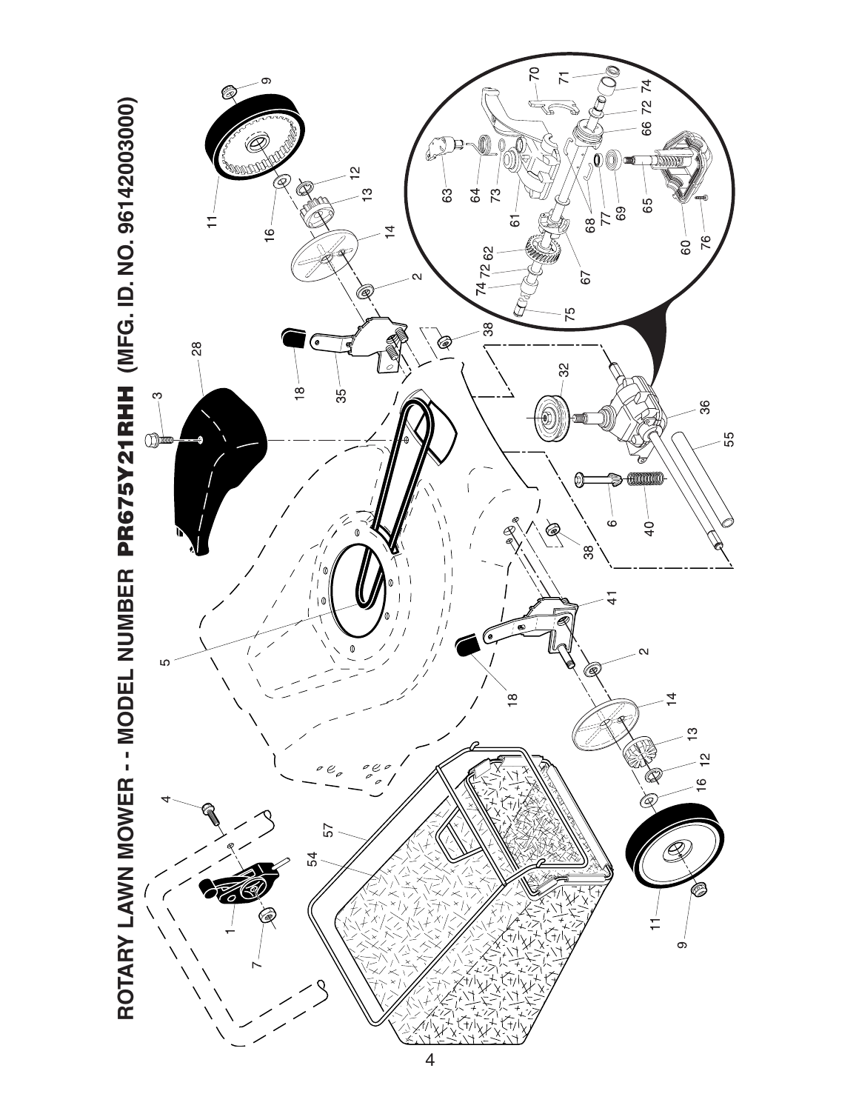